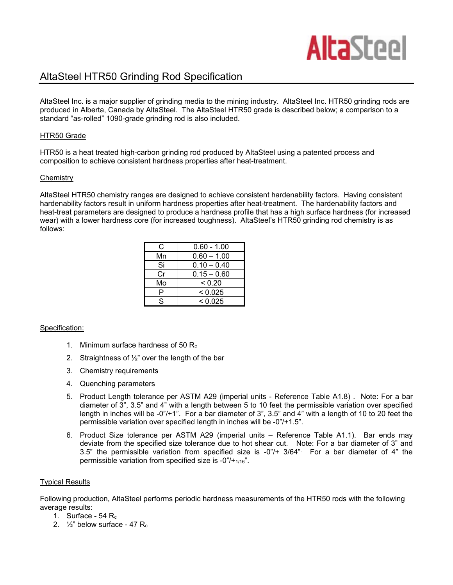## AltaSteel HTR50 Grinding Rod Specification

AltaSteel Inc. is a major supplier of grinding media to the mining industry. AltaSteel Inc. HTR50 grinding rods are produced in Alberta, Canada by AltaSteel. The AltaSteel HTR50 grade is described below; a comparison to a standard "as-rolled" 1090-grade grinding rod is also included.

### HTR50 Grade

HTR50 is a heat treated high-carbon grinding rod produced by AltaSteel using a patented process and composition to achieve consistent hardness properties after heat-treatment.

### **Chemistry**

AltaSteel HTR50 chemistry ranges are designed to achieve consistent hardenability factors. Having consistent hardenability factors result in uniform hardness properties after heat-treatment. The hardenability factors and heat-treat parameters are designed to produce a hardness profile that has a high surface hardness (for increased wear) with a lower hardness core (for increased toughness). AltaSteel's HTR50 grinding rod chemistry is as follows:

| C  | $0.60 - 1.00$ |
|----|---------------|
| Mn | $0.60 - 1.00$ |
| Si | $0.10 - 0.40$ |
| Cr | $0.15 - 0.60$ |
| Mo | < 0.20        |
| P  | < 0.025       |
| S  | < 0.025       |
|    |               |

### Specification:

- 1. Minimum surface hardness of 50 Rc
- 2. Straightness of  $\frac{1}{2}$ " over the length of the bar
- 3. Chemistry requirements
- 4. Quenching parameters
- 5. Product Length tolerance per ASTM A29 (imperial units Reference Table A1.8) . Note: For a bar diameter of 3", 3.5" and 4" with a length between 5 to 10 feet the permissible variation over specified length in inches will be -0"/+1". For a bar diameter of 3", 3.5" and 4" with a length of 10 to 20 feet the permissible variation over specified length in inches will be -0"/+1.5".
- 6. Product Size tolerance per ASTM A29 (imperial units Reference Table A1.1). Bar ends may deviate from the specified size tolerance due to hot shear cut. Note: For a bar diameter of 3" and 3.5" the permissible variation from specified size is -0"/+ 3/64". For a bar diameter of 4" the permissible variation from specified size is -0"/+1/16".

### Typical Results

Following production, AltaSteel performs periodic hardness measurements of the HTR50 rods with the following average results:

- 1. Surface 54 Rc
- 2.  $\frac{1}{2}$ " below surface 47 R<sub>c</sub>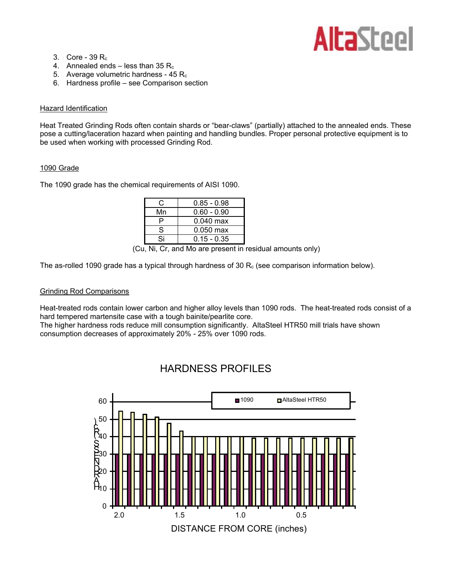# **Alta**Steel

- 3. Core 39 Rc
- 4. Annealed ends less than  $35 R_c$
- 5. Average volumetric hardness 45 Rc
- 6. Hardness profile see Comparison section

### Hazard Identification

Heat Treated Grinding Rods often contain shards or "bear-claws" (partially) attached to the annealed ends. These pose a cutting/laceration hazard when painting and handling bundles. Proper personal protective equipment is to be used when working with processed Grinding Rod.

### 1090 Grade

The 1090 grade has the chemical requirements of AISI 1090.

| C  | $0.85 - 0.98$ |
|----|---------------|
| Mn | $0.60 - 0.90$ |
| P  | $0.040$ max   |
| S  | $0.050$ max   |
| Si | $0.15 - 0.35$ |

(Cu, Ni, Cr, and Mo are present in residual amounts only)

The as-rolled 1090 grade has a typical through hardness of 30  $R_c$  (see comparison information below).

### Grinding Rod Comparisons

Heat-treated rods contain lower carbon and higher alloy levels than 1090 rods. The heat-treated rods consist of a hard tempered martensite case with a tough bainite/pearlite core.

The higher hardness rods reduce mill consumption significantly. AltaSteel HTR50 mill trials have shown consumption decreases of approximately 20% - 25% over 1090 rods.



# HARDNESS PROFILES